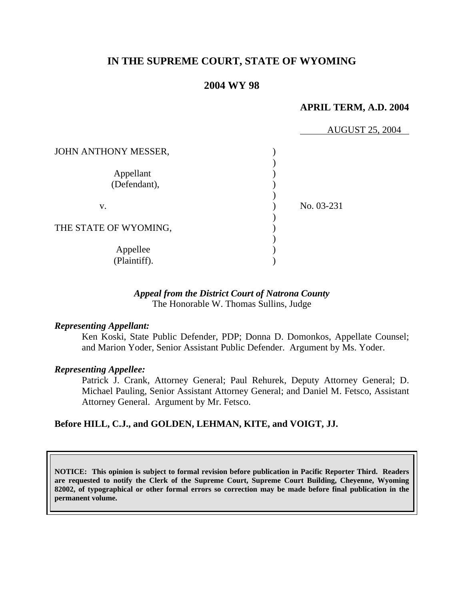# **IN THE SUPREME COURT, STATE OF WYOMING**

### **2004 WY 98**

#### **APRIL TERM, A.D. 2004**

|                           | <b>AUGUST 25, 2004</b> |
|---------------------------|------------------------|
| JOHN ANTHONY MESSER,      |                        |
| Appellant<br>(Defendant), |                        |
| V.                        | No. 03-231             |
| THE STATE OF WYOMING,     |                        |
| Appellee<br>(Plaintiff).  |                        |

### *Appeal from the District Court of Natrona County* The Honorable W. Thomas Sullins, Judge

### *Representing Appellant:*

Ken Koski, State Public Defender, PDP; Donna D. Domonkos, Appellate Counsel; and Marion Yoder, Senior Assistant Public Defender. Argument by Ms. Yoder.

#### *Representing Appellee:*

Patrick J. Crank, Attorney General; Paul Rehurek, Deputy Attorney General; D. Michael Pauling, Senior Assistant Attorney General; and Daniel M. Fetsco, Assistant Attorney General. Argument by Mr. Fetsco.

### **Before HILL, C.J., and GOLDEN, LEHMAN, KITE, and VOIGT, JJ.**

**NOTICE: This opinion is subject to formal revision before publication in Pacific Reporter Third. Readers are requested to notify the Clerk of the Supreme Court, Supreme Court Building, Cheyenne, Wyoming 82002, of typographical or other formal errors so correction may be made before final publication in the permanent volume.**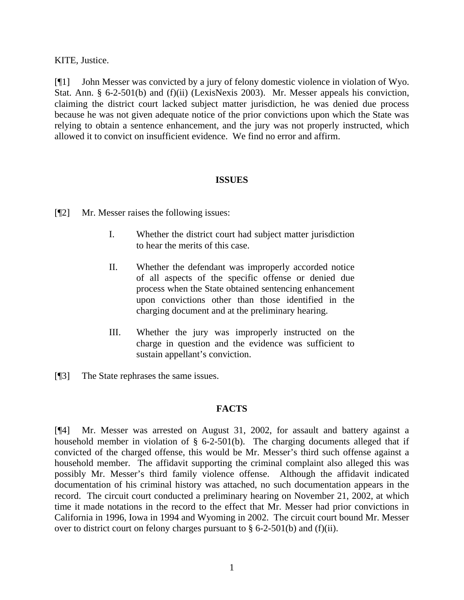KITE, Justice.

[¶1] John Messer was convicted by a jury of felony domestic violence in violation of Wyo. Stat. Ann. § 6-2-501(b) and (f)(ii) (LexisNexis 2003). Mr. Messer appeals his conviction, claiming the district court lacked subject matter jurisdiction, he was denied due process because he was not given adequate notice of the prior convictions upon which the State was relying to obtain a sentence enhancement, and the jury was not properly instructed, which allowed it to convict on insufficient evidence. We find no error and affirm.

## **ISSUES**

- [¶2] Mr. Messer raises the following issues:
	- I. Whether the district court had subject matter jurisdiction to hear the merits of this case.
	- II. Whether the defendant was improperly accorded notice of all aspects of the specific offense or denied due process when the State obtained sentencing enhancement upon convictions other than those identified in the charging document and at the preliminary hearing.
	- III. Whether the jury was improperly instructed on the charge in question and the evidence was sufficient to sustain appellant's conviction.
- [¶3] The State rephrases the same issues.

### **FACTS**

[¶4] Mr. Messer was arrested on August 31, 2002, for assault and battery against a household member in violation of  $\S$  6-2-501(b). The charging documents alleged that if convicted of the charged offense, this would be Mr. Messer's third such offense against a household member. The affidavit supporting the criminal complaint also alleged this was possibly Mr. Messer's third family violence offense. Although the affidavit indicated documentation of his criminal history was attached, no such documentation appears in the record. The circuit court conducted a preliminary hearing on November 21, 2002, at which time it made notations in the record to the effect that Mr. Messer had prior convictions in California in 1996, Iowa in 1994 and Wyoming in 2002. The circuit court bound Mr. Messer over to district court on felony charges pursuant to  $\S$  6-2-501(b) and (f)(ii).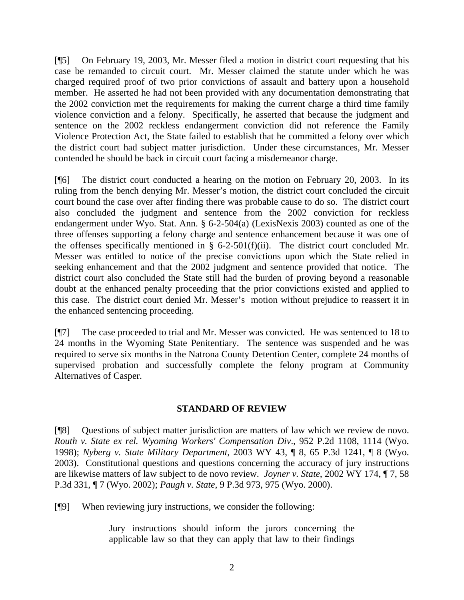[¶5] On February 19, 2003, Mr. Messer filed a motion in district court requesting that his case be remanded to circuit court. Mr. Messer claimed the statute under which he was charged required proof of two prior convictions of assault and battery upon a household member. He asserted he had not been provided with any documentation demonstrating that the 2002 conviction met the requirements for making the current charge a third time family violence conviction and a felony. Specifically, he asserted that because the judgment and sentence on the 2002 reckless endangerment conviction did not reference the Family Violence Protection Act, the State failed to establish that he committed a felony over which the district court had subject matter jurisdiction. Under these circumstances, Mr. Messer contended he should be back in circuit court facing a misdemeanor charge.

[¶6] The district court conducted a hearing on the motion on February 20, 2003. In its ruling from the bench denying Mr. Messer's motion, the district court concluded the circuit court bound the case over after finding there was probable cause to do so. The district court also concluded the judgment and sentence from the 2002 conviction for reckless endangerment under Wyo. Stat. Ann. § 6-2-504(a) (LexisNexis 2003) counted as one of the three offenses supporting a felony charge and sentence enhancement because it was one of the offenses specifically mentioned in  $\S$  6-2-501(f)(ii). The district court concluded Mr. Messer was entitled to notice of the precise convictions upon which the State relied in seeking enhancement and that the 2002 judgment and sentence provided that notice. The district court also concluded the State still had the burden of proving beyond a reasonable doubt at the enhanced penalty proceeding that the prior convictions existed and applied to this case. The district court denied Mr. Messer's motion without prejudice to reassert it in the enhanced sentencing proceeding.

[¶7] The case proceeded to trial and Mr. Messer was convicted. He was sentenced to 18 to 24 months in the Wyoming State Penitentiary. The sentence was suspended and he was required to serve six months in the Natrona County Detention Center, complete 24 months of supervised probation and successfully complete the felony program at Community Alternatives of Casper.

## **STANDARD OF REVIEW**

[¶8] Questions of subject matter jurisdiction are matters of law which we review de novo. *Routh v. State ex rel. Wyoming Workers' Compensation Div*., 952 P.2d 1108, 1114 (Wyo. 1998); *Nyberg v. State Military Department*, 2003 WY 43, ¶ 8, 65 P.3d 1241, ¶ 8 (Wyo. 2003). Constitutional questions and questions concerning the accuracy of jury instructions are likewise matters of law subject to de novo review. *Joyner v. State*, 2002 WY 174, ¶ 7, 58 P.3d 331, ¶ 7 (Wyo. 2002); *Paugh v. State*, 9 P.3d 973, 975 (Wyo. 2000).

[¶9] When reviewing jury instructions, we consider the following:

Jury instructions should inform the jurors concerning the applicable law so that they can apply that law to their findings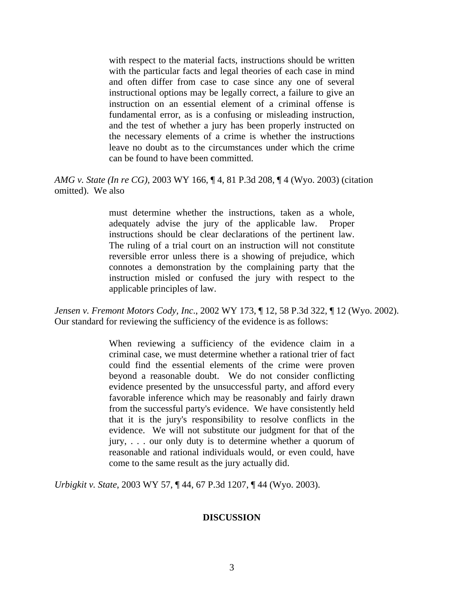with respect to the material facts, instructions should be written with the particular facts and legal theories of each case in mind and often differ from case to case since any one of several instructional options may be legally correct, a failure to give an instruction on an essential element of a criminal offense is fundamental error, as is a confusing or misleading instruction, and the test of whether a jury has been properly instructed on the necessary elements of a crime is whether the instructions leave no doubt as to the circumstances under which the crime can be found to have been committed.

*AMG v. State (In re CG),* 2003 WY 166, ¶ 4, 81 P.3d 208, ¶ 4 (Wyo. 2003) (citation omitted). We also

> must determine whether the instructions, taken as a whole, adequately advise the jury of the applicable law. Proper instructions should be clear declarations of the pertinent law. The ruling of a trial court on an instruction will not constitute reversible error unless there is a showing of prejudice, which connotes a demonstration by the complaining party that the instruction misled or confused the jury with respect to the applicable principles of law.

*Jensen v. Fremont Motors Cody, Inc*., 2002 WY 173, ¶ 12, 58 P.3d 322, ¶ 12 (Wyo. 2002). Our standard for reviewing the sufficiency of the evidence is as follows:

> When reviewing a sufficiency of the evidence claim in a criminal case, we must determine whether a rational trier of fact could find the essential elements of the crime were proven beyond a reasonable doubt. We do not consider conflicting evidence presented by the unsuccessful party, and afford every favorable inference which may be reasonably and fairly drawn from the successful party's evidence. We have consistently held that it is the jury's responsibility to resolve conflicts in the evidence. We will not substitute our judgment for that of the jury, . . . our only duty is to determine whether a quorum of reasonable and rational individuals would, or even could, have come to the same result as the jury actually did.

*Urbigkit v. State*, 2003 WY 57, ¶ 44, 67 P.3d 1207, ¶ 44 (Wyo. 2003).

### **DISCUSSION**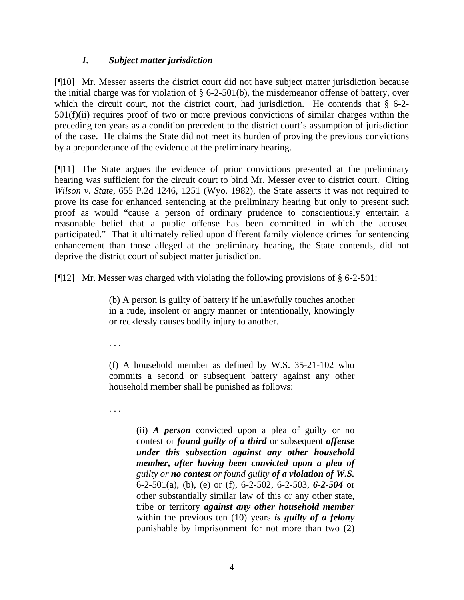## *1. Subject matter jurisdiction*

[¶10] Mr. Messer asserts the district court did not have subject matter jurisdiction because the initial charge was for violation of § 6-2-501(b), the misdemeanor offense of battery, over which the circuit court, not the district court, had jurisdiction. He contends that § 6-2-501(f)(ii) requires proof of two or more previous convictions of similar charges within the preceding ten years as a condition precedent to the district court's assumption of jurisdiction of the case. He claims the State did not meet its burden of proving the previous convictions by a preponderance of the evidence at the preliminary hearing.

[¶11] The State argues the evidence of prior convictions presented at the preliminary hearing was sufficient for the circuit court to bind Mr. Messer over to district court. Citing *Wilson v. State*, 655 P.2d 1246, 1251 (Wyo. 1982), the State asserts it was not required to prove its case for enhanced sentencing at the preliminary hearing but only to present such proof as would "cause a person of ordinary prudence to conscientiously entertain a reasonable belief that a public offense has been committed in which the accused participated." That it ultimately relied upon different family violence crimes for sentencing enhancement than those alleged at the preliminary hearing, the State contends, did not deprive the district court of subject matter jurisdiction.

[¶12] Mr. Messer was charged with violating the following provisions of § 6-2-501:

(b) A person is guilty of battery if he unlawfully touches another in a rude, insolent or angry manner or intentionally, knowingly or recklessly causes bodily injury to another.

. . .

(f) A household member as defined by W.S. 35-21-102 who commits a second or subsequent battery against any other household member shall be punished as follows:

. . .

(ii) *A person* convicted upon a plea of guilty or no contest or *found guilty of a third* or subsequent *offense under this subsection against any other household member***,** *after having been convicted upon a plea of guilty or no contest or found guilty of a violation of W.S.* 6-2-501(a), (b), (e) or (f), 6-2-502, 6-2-503, *6-2-504* or other substantially similar law of this or any other state, tribe or territory *against any other household member* within the previous ten (10) years *is guilty of a felony* punishable by imprisonment for not more than two (2)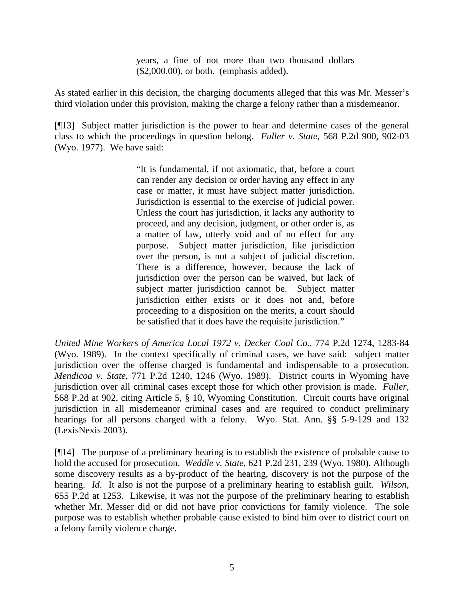years, a fine of not more than two thousand dollars (\$2,000.00), or both. (emphasis added).

As stated earlier in this decision, the charging documents alleged that this was Mr. Messer's third violation under this provision, making the charge a felony rather than a misdemeanor.

[¶13] Subject matter jurisdiction is the power to hear and determine cases of the general class to which the proceedings in question belong. *Fuller v. State*, 568 P.2d 900, 902-03 (Wyo. 1977). We have said:

> "It is fundamental, if not axiomatic, that, before a court can render any decision or order having any effect in any case or matter, it must have subject matter jurisdiction. Jurisdiction is essential to the exercise of judicial power. Unless the court has jurisdiction, it lacks any authority to proceed, and any decision, judgment, or other order is, as a matter of law, utterly void and of no effect for any purpose. Subject matter jurisdiction, like jurisdiction over the person, is not a subject of judicial discretion. There is a difference, however, because the lack of jurisdiction over the person can be waived, but lack of subject matter jurisdiction cannot be. Subject matter jurisdiction either exists or it does not and, before proceeding to a disposition on the merits, a court should be satisfied that it does have the requisite jurisdiction."

*United Mine Workers of America Local 1972 v. Decker Coal Co*., 774 P.2d 1274, 1283-84 (Wyo. 1989). In the context specifically of criminal cases, we have said: subject matter jurisdiction over the offense charged is fundamental and indispensable to a prosecution. *Mendicoa v. State*, 771 P.2d 1240, 1246 (Wyo. 1989). District courts in Wyoming have jurisdiction over all criminal cases except those for which other provision is made. *Fuller,* 568 P.2d at 902, citing Article 5, § 10, Wyoming Constitution. Circuit courts have original jurisdiction in all misdemeanor criminal cases and are required to conduct preliminary hearings for all persons charged with a felony. Wyo. Stat. Ann. §§ 5-9-129 and 132 (LexisNexis 2003).

[¶14] The purpose of a preliminary hearing is to establish the existence of probable cause to hold the accused for prosecution. *Weddle v. State*, 621 P.2d 231, 239 (Wyo. 1980). Although some discovery results as a by-product of the hearing, discovery is not the purpose of the hearing. *Id*. It also is not the purpose of a preliminary hearing to establish guilt. *Wilson*, 655 P.2d at 1253. Likewise, it was not the purpose of the preliminary hearing to establish whether Mr. Messer did or did not have prior convictions for family violence. The sole purpose was to establish whether probable cause existed to bind him over to district court on a felony family violence charge.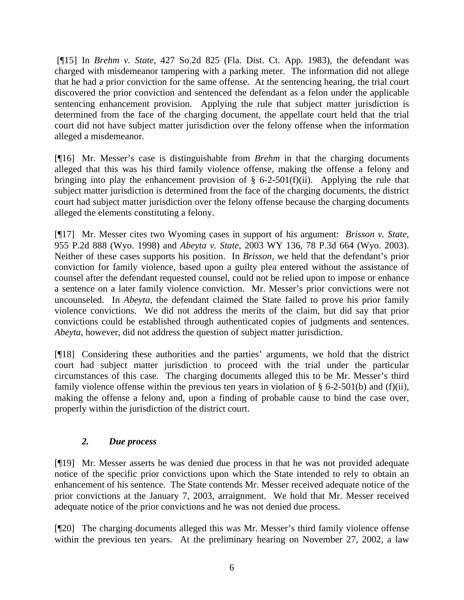[¶15] In *Brehm v. State*, 427 So.2d 825 (Fla. Dist. Ct. App. 1983), the defendant was charged with misdemeanor tampering with a parking meter. The information did not allege that he had a prior conviction for the same offense. At the sentencing hearing, the trial court discovered the prior conviction and sentenced the defendant as a felon under the applicable sentencing enhancement provision. Applying the rule that subject matter jurisdiction is determined from the face of the charging document, the appellate court held that the trial court did not have subject matter jurisdiction over the felony offense when the information alleged a misdemeanor.

[¶16] Mr. Messer's case is distinguishable from *Brehm* in that the charging documents alleged that this was his third family violence offense, making the offense a felony and bringing into play the enhancement provision of  $\S$  6-2-501(f)(ii). Applying the rule that subject matter jurisdiction is determined from the face of the charging documents, the district court had subject matter jurisdiction over the felony offense because the charging documents alleged the elements constituting a felony.

[¶17] Mr. Messer cites two Wyoming cases in support of his argument: *Brisson v. State*, 955 P.2d 888 (Wyo. 1998) and *Abeyta v. State*, 2003 WY 136, 78 P.3d 664 (Wyo. 2003). Neither of these cases supports his position. In *Brisson*, we held that the defendant's prior conviction for family violence, based upon a guilty plea entered without the assistance of counsel after the defendant requested counsel, could not be relied upon to impose or enhance a sentence on a later family violence conviction. Mr. Messer's prior convictions were not uncounseled. In *Abeyta*, the defendant claimed the State failed to prove his prior family violence convictions. We did not address the merits of the claim, but did say that prior convictions could be established through authenticated copies of judgments and sentences. *Abeyta*, however, did not address the question of subject matter jurisdiction.

[¶18] Considering these authorities and the parties' arguments, we hold that the district court had subject matter jurisdiction to proceed with the trial under the particular circumstances of this case. The charging documents alleged this to be Mr. Messer's third family violence offense within the previous ten years in violation of  $\S$  6-2-501(b) and (f)(ii), making the offense a felony and, upon a finding of probable cause to bind the case over, properly within the jurisdiction of the district court.

# *2. Due process*

[¶19] Mr. Messer asserts he was denied due process in that he was not provided adequate notice of the specific prior convictions upon which the State intended to rely to obtain an enhancement of his sentence. The State contends Mr. Messer received adequate notice of the prior convictions at the January 7, 2003, arraignment. We hold that Mr. Messer received adequate notice of the prior convictions and he was not denied due process.

[¶20] The charging documents alleged this was Mr. Messer's third family violence offense within the previous ten years. At the preliminary hearing on November 27, 2002, a law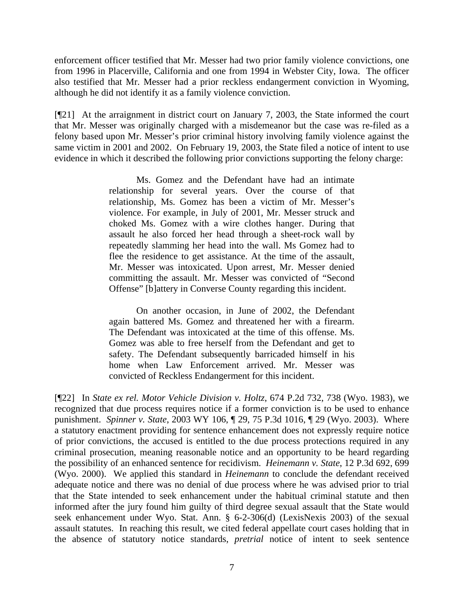enforcement officer testified that Mr. Messer had two prior family violence convictions, one from 1996 in Placerville, California and one from 1994 in Webster City, Iowa. The officer also testified that Mr. Messer had a prior reckless endangerment conviction in Wyoming, although he did not identify it as a family violence conviction.

[¶21] At the arraignment in district court on January 7, 2003, the State informed the court that Mr. Messer was originally charged with a misdemeanor but the case was re-filed as a felony based upon Mr. Messer's prior criminal history involving family violence against the same victim in 2001 and 2002. On February 19, 2003, the State filed a notice of intent to use evidence in which it described the following prior convictions supporting the felony charge:

> Ms. Gomez and the Defendant have had an intimate relationship for several years. Over the course of that relationship, Ms. Gomez has been a victim of Mr. Messer's violence. For example, in July of 2001, Mr. Messer struck and choked Ms. Gomez with a wire clothes hanger. During that assault he also forced her head through a sheet-rock wall by repeatedly slamming her head into the wall. Ms Gomez had to flee the residence to get assistance. At the time of the assault, Mr. Messer was intoxicated. Upon arrest, Mr. Messer denied committing the assault. Mr. Messer was convicted of "Second Offense" [b]attery in Converse County regarding this incident.

> On another occasion, in June of 2002, the Defendant again battered Ms. Gomez and threatened her with a firearm. The Defendant was intoxicated at the time of this offense. Ms. Gomez was able to free herself from the Defendant and get to safety. The Defendant subsequently barricaded himself in his home when Law Enforcement arrived. Mr. Messer was convicted of Reckless Endangerment for this incident.

[¶22] In *State ex rel. Motor Vehicle Division v. Holtz*, 674 P.2d 732, 738 (Wyo. 1983), we recognized that due process requires notice if a former conviction is to be used to enhance punishment. *Spinner v. State*, 2003 WY 106, ¶ 29, 75 P.3d 1016, ¶ 29 (Wyo. 2003). Where a statutory enactment providing for sentence enhancement does not expressly require notice of prior convictions, the accused is entitled to the due process protections required in any criminal prosecution, meaning reasonable notice and an opportunity to be heard regarding the possibility of an enhanced sentence for recidivism. *Heinemann v. State*, 12 P.3d 692, 699 (Wyo. 2000). We applied this standard in *Heinemann* to conclude the defendant received adequate notice and there was no denial of due process where he was advised prior to trial that the State intended to seek enhancement under the habitual criminal statute and then informed after the jury found him guilty of third degree sexual assault that the State would seek enhancement under Wyo. Stat. Ann. § 6-2-306(d) (LexisNexis 2003) of the sexual assault statutes. In reaching this result, we cited federal appellate court cases holding that in the absence of statutory notice standards, *pretrial* notice of intent to seek sentence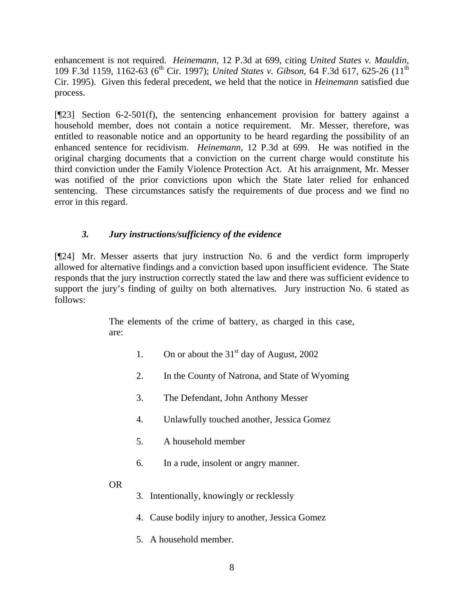enhancement is not required. *Heinemann*, 12 P.3d at 699, citing *United States v. Mauldin*, 109 F.3d 1159, 1162-63 (6<sup>th</sup> Cir. 1997); *United States v. Gibson*, 64 F.3d 617, 625-26 (11<sup>th</sup>) Cir. 1995). Given this federal precedent, we held that the notice in *Heinemann* satisfied due process.

[¶23] Section 6-2-501(f), the sentencing enhancement provision for battery against a household member, does not contain a notice requirement. Mr. Messer, therefore, was entitled to reasonable notice and an opportunity to be heard regarding the possibility of an enhanced sentence for recidivism. *Heinemann*, 12 P.3d at 699. He was notified in the original charging documents that a conviction on the current charge would constitute his third conviction under the Family Violence Protection Act. At his arraignment, Mr. Messer was notified of the prior convictions upon which the State later relied for enhanced sentencing. These circumstances satisfy the requirements of due process and we find no error in this regard.

# *3. Jury instructions/sufficiency of the evidence*

[¶24] Mr. Messer asserts that jury instruction No. 6 and the verdict form improperly allowed for alternative findings and a conviction based upon insufficient evidence. The State responds that the jury instruction correctly stated the law and there was sufficient evidence to support the jury's finding of guilty on both alternatives. Jury instruction No. 6 stated as follows:

> The elements of the crime of battery, as charged in this case, are:

- 1. On or about the  $31<sup>st</sup>$  day of August, 2002
- 2. In the County of Natrona, and State of Wyoming
- 3. The Defendant, John Anthony Messer
- 4. Unlawfully touched another, Jessica Gomez
- 5. A household member
- 6. In a rude, insolent or angry manner.
- OR
- 3. Intentionally, knowingly or recklessly
- 4. Cause bodily injury to another, Jessica Gomez
- 5. A household member.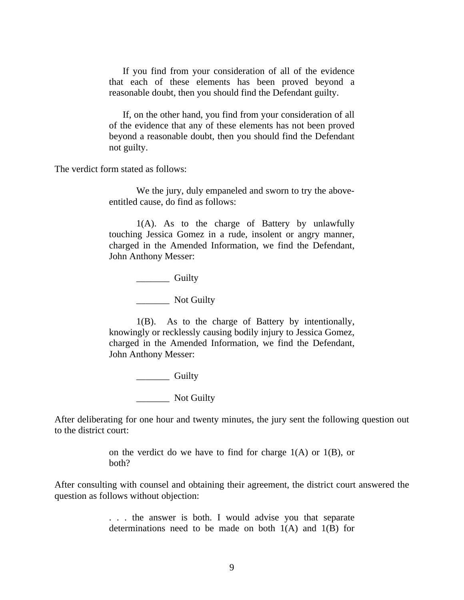If you find from your consideration of all of the evidence that each of these elements has been proved beyond a reasonable doubt, then you should find the Defendant guilty.

If, on the other hand, you find from your consideration of all of the evidence that any of these elements has not been proved beyond a reasonable doubt, then you should find the Defendant not guilty.

The verdict form stated as follows:

We the jury, duly empaneled and sworn to try the aboveentitled cause, do find as follows:

1(A). As to the charge of Battery by unlawfully touching Jessica Gomez in a rude, insolent or angry manner, charged in the Amended Information, we find the Defendant, John Anthony Messer:

\_\_\_\_\_\_\_ Guilty

\_\_\_\_\_\_\_ Not Guilty

1(B). As to the charge of Battery by intentionally, knowingly or recklessly causing bodily injury to Jessica Gomez, charged in the Amended Information, we find the Defendant, John Anthony Messer:

\_\_\_\_\_\_\_ Guilty

\_\_\_\_\_\_\_ Not Guilty

After deliberating for one hour and twenty minutes, the jury sent the following question out to the district court:

> on the verdict do we have to find for charge  $1(A)$  or  $1(B)$ , or both?

After consulting with counsel and obtaining their agreement, the district court answered the question as follows without objection:

> . . . the answer is both. I would advise you that separate determinations need to be made on both  $1(A)$  and  $1(B)$  for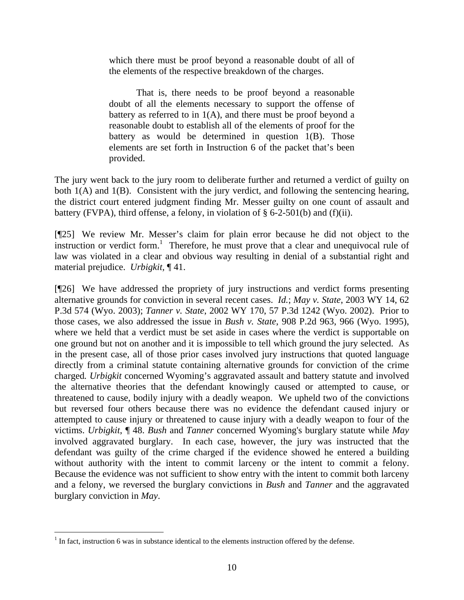which there must be proof beyond a reasonable doubt of all of the elements of the respective breakdown of the charges.

That is, there needs to be proof beyond a reasonable doubt of all the elements necessary to support the offense of battery as referred to in  $1(A)$ , and there must be proof beyond a reasonable doubt to establish all of the elements of proof for the battery as would be determined in question 1(B). Those elements are set forth in Instruction 6 of the packet that's been provided.

The jury went back to the jury room to deliberate further and returned a verdict of guilty on both 1(A) and 1(B). Consistent with the jury verdict, and following the sentencing hearing, the district court entered judgment finding Mr. Messer guilty on one count of assault and battery (FVPA), third offense, a felony, in violation of § 6-2-501(b) and (f)(ii).

[¶25] We review Mr. Messer's claim for plain error because he did not object to the instruction or verdict form.<sup>1</sup> Therefore, he must prove that a clear and unequivocal rule of law was violated in a clear and obvious way resulting in denial of a substantial right and material prejudice. *Urbigkit,* ¶ 41.

[¶26] We have addressed the propriety of jury instructions and verdict forms presenting alternative grounds for conviction in several recent cases. *Id.*; *May v. State*, 2003 WY 14, 62 P.3d 574 (Wyo. 2003); *Tanner v. State*, 2002 WY 170, 57 P.3d 1242 (Wyo. 2002). Prior to those cases, we also addressed the issue in *Bush v. State*, 908 P.2d 963, 966 (Wyo. 1995), where we held that a verdict must be set aside in cases where the verdict is supportable on one ground but not on another and it is impossible to tell which ground the jury selected. As in the present case, all of those prior cases involved jury instructions that quoted language directly from a criminal statute containing alternative grounds for conviction of the crime charged*. Urbigkit* concerned Wyoming's aggravated assault and battery statute and involved the alternative theories that the defendant knowingly caused or attempted to cause, or threatened to cause, bodily injury with a deadly weapon. We upheld two of the convictions but reversed four others because there was no evidence the defendant caused injury or attempted to cause injury or threatened to cause injury with a deadly weapon to four of the victims. *Urbigkit*, ¶ 48. *Bush* and *Tanner* concerned Wyoming's burglary statute while *May* involved aggravated burglary. In each case, however, the jury was instructed that the defendant was guilty of the crime charged if the evidence showed he entered a building without authority with the intent to commit larceny or the intent to commit a felony. Because the evidence was not sufficient to show entry with the intent to commit both larceny and a felony, we reversed the burglary convictions in *Bush* and *Tanner* and the aggravated burglary conviction in *May*.

 $\overline{a}$ 

 $<sup>1</sup>$  In fact, instruction 6 was in substance identical to the elements instruction offered by the defense.</sup>